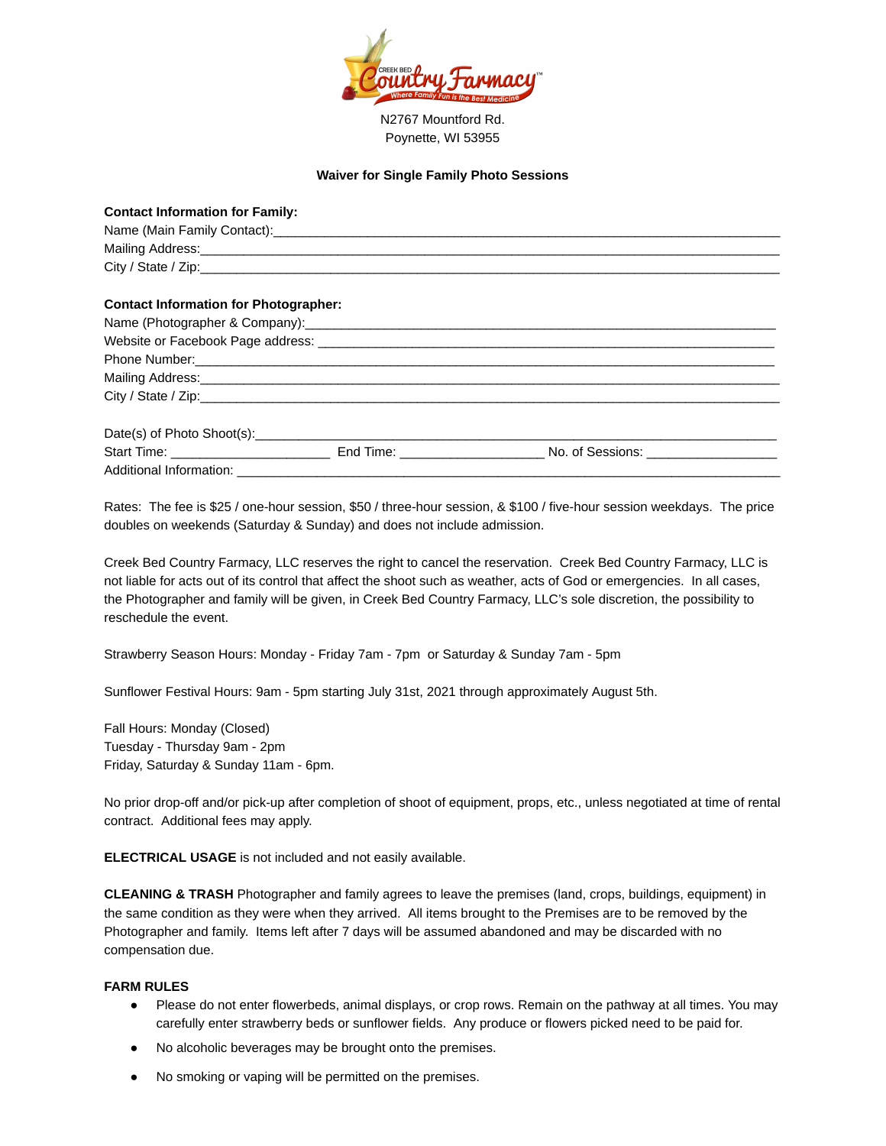

N2767 Mountford Rd. Poynette, WI 53955

## **Waiver for Single Family Photo Sessions**

| <b>Contact Information for Family:</b>       |                                                  |
|----------------------------------------------|--------------------------------------------------|
|                                              |                                                  |
|                                              |                                                  |
|                                              |                                                  |
| <b>Contact Information for Photographer:</b> |                                                  |
|                                              |                                                  |
|                                              |                                                  |
|                                              |                                                  |
|                                              |                                                  |
|                                              | City / State / Zip:                              |
| Date(s) of Photo Shoot(s):                   |                                                  |
|                                              | Start Time: End Time: End Time: No. of Sessions: |
|                                              |                                                  |

Rates: The fee is \$25 / one-hour session, \$50 / three-hour session, & \$100 / five-hour session weekdays. The price doubles on weekends (Saturday & Sunday) and does not include admission.

Creek Bed Country Farmacy, LLC reserves the right to cancel the reservation. Creek Bed Country Farmacy, LLC is not liable for acts out of its control that affect the shoot such as weather, acts of God or emergencies. In all cases, the Photographer and family will be given, in Creek Bed Country Farmacy, LLC's sole discretion, the possibility to reschedule the event.

Strawberry Season Hours: Monday - Friday 7am - 7pm or Saturday & Sunday 7am - 5pm

Sunflower Festival Hours: 9am - 5pm starting July 31st, 2021 through approximately August 5th.

Fall Hours: Monday (Closed) Tuesday - Thursday 9am - 2pm Friday, Saturday & Sunday 11am - 6pm.

No prior drop-off and/or pick-up after completion of shoot of equipment, props, etc., unless negotiated at time of rental contract. Additional fees may apply.

**ELECTRICAL USAGE** is not included and not easily available.

**CLEANING & TRASH** Photographer and family agrees to leave the premises (land, crops, buildings, equipment) in the same condition as they were when they arrived. All items brought to the Premises are to be removed by the Photographer and family. Items left after 7 days will be assumed abandoned and may be discarded with no compensation due.

## **FARM RULES**

- Please do not enter flowerbeds, animal displays, or crop rows. Remain on the pathway at all times. You may carefully enter strawberry beds or sunflower fields. Any produce or flowers picked need to be paid for.
- No alcoholic beverages may be brought onto the premises.
- No smoking or vaping will be permitted on the premises.